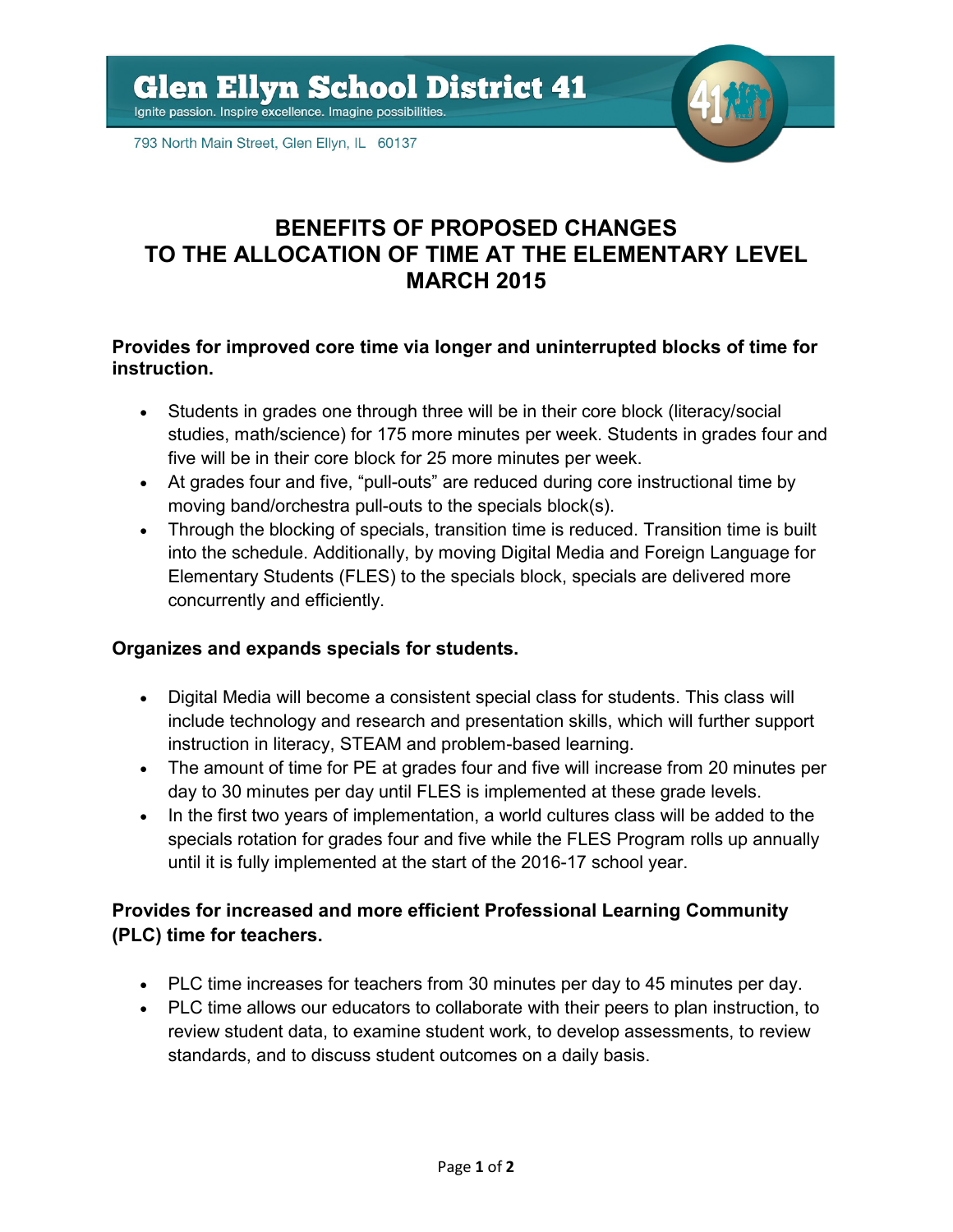

793 North Main Street, Glen Ellyn, IL 60137

# **BENEFITS OF PROPOSED CHANGES TO THE ALLOCATION OF TIME AT THE ELEMENTARY LEVEL MARCH 2015**

### **Provides for improved core time via longer and uninterrupted blocks of time for instruction.**

- Students in grades one through three will be in their core block (literacy/social studies, math/science) for 175 more minutes per week. Students in grades four and five will be in their core block for 25 more minutes per week.
- At grades four and five, "pull-outs" are reduced during core instructional time by moving band/orchestra pull-outs to the specials block(s).
- Through the blocking of specials, transition time is reduced. Transition time is built into the schedule. Additionally, by moving Digital Media and Foreign Language for Elementary Students (FLES) to the specials block, specials are delivered more concurrently and efficiently.

## **Organizes and expands specials for students.**

- Digital Media will become a consistent special class for students. This class will include technology and research and presentation skills, which will further support instruction in literacy, STEAM and problem-based learning.
- The amount of time for PE at grades four and five will increase from 20 minutes per day to 30 minutes per day until FLES is implemented at these grade levels.
- In the first two years of implementation, a world cultures class will be added to the specials rotation for grades four and five while the FLES Program rolls up annually until it is fully implemented at the start of the 2016-17 school year.

# **Provides for increased and more efficient Professional Learning Community (PLC) time for teachers.**

- PLC time increases for teachers from 30 minutes per day to 45 minutes per day.
- PLC time allows our educators to collaborate with their peers to plan instruction, to review student data, to examine student work, to develop assessments, to review standards, and to discuss student outcomes on a daily basis.